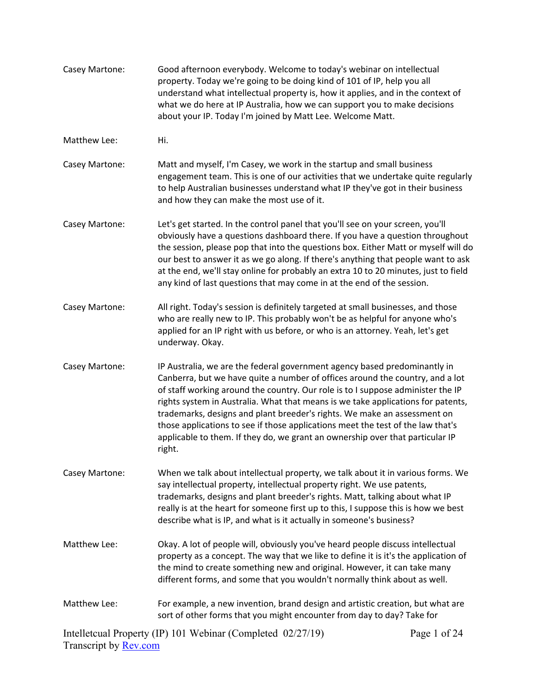| Casey Martone:               | Good afternoon everybody. Welcome to today's webinar on intellectual<br>property. Today we're going to be doing kind of 101 of IP, help you all<br>understand what intellectual property is, how it applies, and in the context of<br>what we do here at IP Australia, how we can support you to make decisions<br>about your IP. Today I'm joined by Matt Lee. Welcome Matt.                                                                                                                                                                                                               |              |
|------------------------------|---------------------------------------------------------------------------------------------------------------------------------------------------------------------------------------------------------------------------------------------------------------------------------------------------------------------------------------------------------------------------------------------------------------------------------------------------------------------------------------------------------------------------------------------------------------------------------------------|--------------|
| Matthew Lee:                 | Hi.                                                                                                                                                                                                                                                                                                                                                                                                                                                                                                                                                                                         |              |
| Casey Martone:               | Matt and myself, I'm Casey, we work in the startup and small business<br>engagement team. This is one of our activities that we undertake quite regularly<br>to help Australian businesses understand what IP they've got in their business<br>and how they can make the most use of it.                                                                                                                                                                                                                                                                                                    |              |
| Casey Martone:               | Let's get started. In the control panel that you'll see on your screen, you'll<br>obviously have a questions dashboard there. If you have a question throughout<br>the session, please pop that into the questions box. Either Matt or myself will do<br>our best to answer it as we go along. If there's anything that people want to ask<br>at the end, we'll stay online for probably an extra 10 to 20 minutes, just to field<br>any kind of last questions that may come in at the end of the session.                                                                                 |              |
| Casey Martone:               | All right. Today's session is definitely targeted at small businesses, and those<br>who are really new to IP. This probably won't be as helpful for anyone who's<br>applied for an IP right with us before, or who is an attorney. Yeah, let's get<br>underway. Okay.                                                                                                                                                                                                                                                                                                                       |              |
| Casey Martone:               | IP Australia, we are the federal government agency based predominantly in<br>Canberra, but we have quite a number of offices around the country, and a lot<br>of staff working around the country. Our role is to I suppose administer the IP<br>rights system in Australia. What that means is we take applications for patents,<br>trademarks, designs and plant breeder's rights. We make an assessment on<br>those applications to see if those applications meet the test of the law that's<br>applicable to them. If they do, we grant an ownership over that particular IP<br>right. |              |
| Casey Martone:               | When we talk about intellectual property, we talk about it in various forms. We<br>say intellectual property, intellectual property right. We use patents,<br>trademarks, designs and plant breeder's rights. Matt, talking about what IP<br>really is at the heart for someone first up to this, I suppose this is how we best<br>describe what is IP, and what is it actually in someone's business?                                                                                                                                                                                      |              |
| Matthew Lee:                 | Okay. A lot of people will, obviously you've heard people discuss intellectual<br>property as a concept. The way that we like to define it is it's the application of<br>the mind to create something new and original. However, it can take many<br>different forms, and some that you wouldn't normally think about as well.                                                                                                                                                                                                                                                              |              |
| Matthew Lee:                 | For example, a new invention, brand design and artistic creation, but what are<br>sort of other forms that you might encounter from day to day? Take for                                                                                                                                                                                                                                                                                                                                                                                                                                    |              |
| Transcript by <b>Rev.com</b> | Intelletcual Property (IP) 101 Webinar (Completed 02/27/19)                                                                                                                                                                                                                                                                                                                                                                                                                                                                                                                                 | Page 1 of 24 |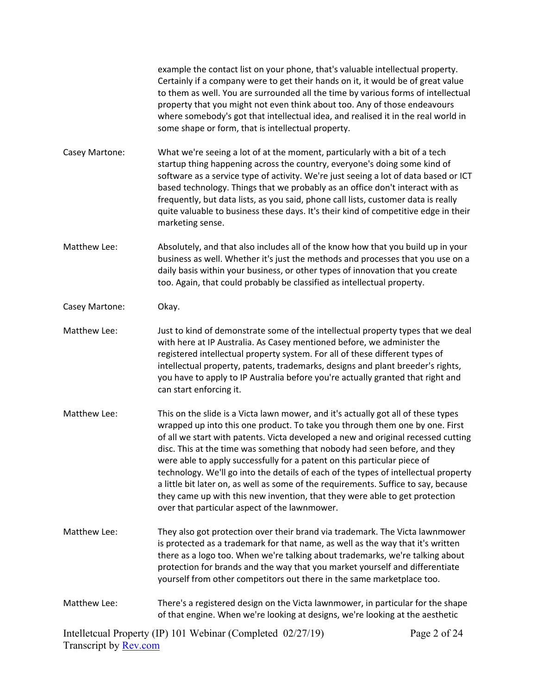example the contact list on your phone, that's valuable intellectual property. Certainly if a company were to get their hands on it, it would be of great value to them as well. You are surrounded all the time by various forms of intellectual property that you might not even think about too. Any of those endeavours where somebody's got that intellectual idea, and realised it in the real world in some shape or form, that is intellectual property. Casey Martone: What we're seeing a lot of at the moment, particularly with a bit of a tech startup thing happening across the country, everyone's doing some kind of software as a service type of activity. We're just seeing a lot of data based or ICT based technology. Things that we probably as an office don't interact with as frequently, but data lists, as you said, phone call lists, customer data is really quite valuable to business these days. It's their kind of competitive edge in their marketing sense. Matthew Lee: Absolutely, and that also includes all of the know how that you build up in your business as well. Whether it's just the methods and processes that you use on a daily basis within your business, or other types of innovation that you create too. Again, that could probably be classified as intellectual property. Casey Martone: Okay. Matthew Lee: Just to kind of demonstrate some of the intellectual property types that we deal with here at IP Australia. As Casey mentioned before, we administer the registered intellectual property system. For all of these different types of intellectual property, patents, trademarks, designs and plant breeder's rights, you have to apply to IP Australia before you're actually granted that right and

Matthew Lee: This on the slide is a Victa lawn mower, and it's actually got all of these types wrapped up into this one product. To take you through them one by one. First of all we start with patents. Victa developed a new and original recessed cutting disc. This at the time was something that nobody had seen before, and they were able to apply successfully for a patent on this particular piece of technology. We'll go into the details of each of the types of intellectual property a little bit later on, as well as some of the requirements. Suffice to say, because they came up with this new invention, that they were able to get protection over that particular aspect of the lawnmower.

can start enforcing it.

- Matthew Lee: They also got protection over their brand via trademark. The Victa lawnmower is protected as a trademark for that name, as well as the way that it's written there as a logo too. When we're talking about trademarks, we're talking about protection for brands and the way that you market yourself and differentiate yourself from other competitors out there in the same marketplace too.
- Matthew Lee: There's a registered design on the Victa lawnmower, in particular for the shape of that engine. When we're looking at designs, we're looking at the aesthetic

Intelletcual Property (IP) 101 Webinar (Completed 02/27/19) Transcript by [Rev.com](https://www.rev.com/) Page 2 of 24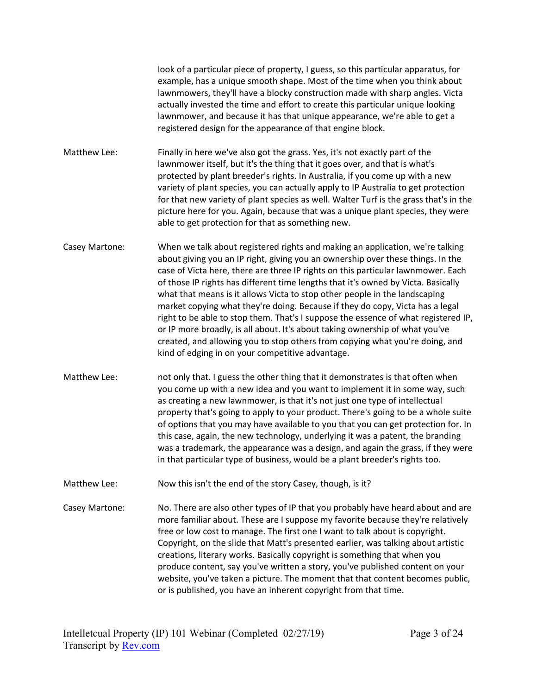look of a particular piece of property, I guess, so this particular apparatus, for example, has a unique smooth shape. Most of the time when you think about lawnmowers, they'll have a blocky construction made with sharp angles. Victa actually invested the time and effort to create this particular unique looking lawnmower, and because it has that unique appearance, we're able to get a registered design for the appearance of that engine block.

- Matthew Lee: Finally in here we've also got the grass. Yes, it's not exactly part of the lawnmower itself, but it's the thing that it goes over, and that is what's protected by plant breeder's rights. In Australia, if you come up with a new variety of plant species, you can actually apply to IP Australia to get protection for that new variety of plant species as well. Walter Turf is the grass that's in the picture here for you. Again, because that was a unique plant species, they were able to get protection for that as something new.
- Casey Martone: When we talk about registered rights and making an application, we're talking about giving you an IP right, giving you an ownership over these things. In the case of Victa here, there are three IP rights on this particular lawnmower. Each of those IP rights has different time lengths that it's owned by Victa. Basically what that means is it allows Victa to stop other people in the landscaping market copying what they're doing. Because if they do copy, Victa has a legal right to be able to stop them. That's I suppose the essence of what registered IP, or IP more broadly, is all about. It's about taking ownership of what you've created, and allowing you to stop others from copying what you're doing, and kind of edging in on your competitive advantage.
- Matthew Lee: not only that. I guess the other thing that it demonstrates is that often when you come up with a new idea and you want to implement it in some way, such as creating a new lawnmower, is that it's not just one type of intellectual property that's going to apply to your product. There's going to be a whole suite of options that you may have available to you that you can get protection for. In this case, again, the new technology, underlying it was a patent, the branding was a trademark, the appearance was a design, and again the grass, if they were in that particular type of business, would be a plant breeder's rights too.
- Matthew Lee: Now this isn't the end of the story Casey, though, is it?
- Casey Martone: No. There are also other types of IP that you probably have heard about and are more familiar about. These are I suppose my favorite because they're relatively free or low cost to manage. The first one I want to talk about is copyright. Copyright, on the slide that Matt's presented earlier, was talking about artistic creations, literary works. Basically copyright is something that when you produce content, say you've written a story, you've published content on your website, you've taken a picture. The moment that that content becomes public, or is published, you have an inherent copyright from that time.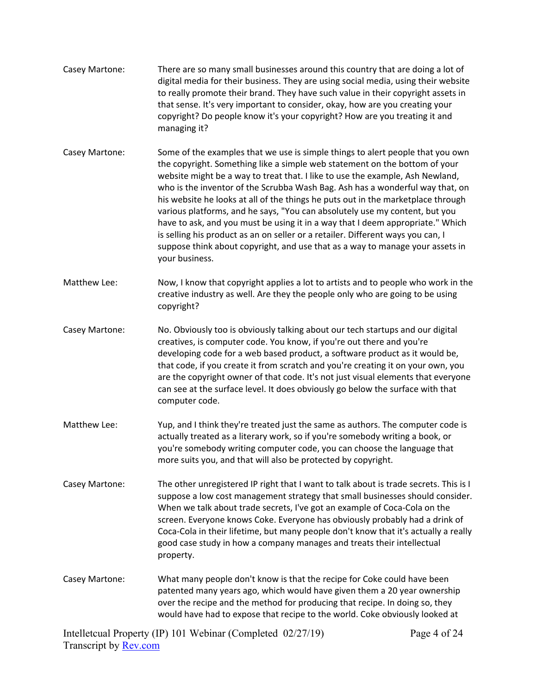| Casey Martone: | There are so many small businesses around this country that are doing a lot of<br>digital media for their business. They are using social media, using their website<br>to really promote their brand. They have such value in their copyright assets in<br>that sense. It's very important to consider, okay, how are you creating your<br>copyright? Do people know it's your copyright? How are you treating it and<br>managing it?                                                                                                                                                                                                                                                                                                                                    |
|----------------|---------------------------------------------------------------------------------------------------------------------------------------------------------------------------------------------------------------------------------------------------------------------------------------------------------------------------------------------------------------------------------------------------------------------------------------------------------------------------------------------------------------------------------------------------------------------------------------------------------------------------------------------------------------------------------------------------------------------------------------------------------------------------|
| Casey Martone: | Some of the examples that we use is simple things to alert people that you own<br>the copyright. Something like a simple web statement on the bottom of your<br>website might be a way to treat that. I like to use the example, Ash Newland,<br>who is the inventor of the Scrubba Wash Bag. Ash has a wonderful way that, on<br>his website he looks at all of the things he puts out in the marketplace through<br>various platforms, and he says, "You can absolutely use my content, but you<br>have to ask, and you must be using it in a way that I deem appropriate." Which<br>is selling his product as an on seller or a retailer. Different ways you can, I<br>suppose think about copyright, and use that as a way to manage your assets in<br>your business. |
| Matthew Lee:   | Now, I know that copyright applies a lot to artists and to people who work in the<br>creative industry as well. Are they the people only who are going to be using<br>copyright?                                                                                                                                                                                                                                                                                                                                                                                                                                                                                                                                                                                          |
| Casey Martone: | No. Obviously too is obviously talking about our tech startups and our digital<br>creatives, is computer code. You know, if you're out there and you're<br>developing code for a web based product, a software product as it would be,<br>that code, if you create it from scratch and you're creating it on your own, you<br>are the copyright owner of that code. It's not just visual elements that everyone<br>can see at the surface level. It does obviously go below the surface with that<br>computer code.                                                                                                                                                                                                                                                       |
| Matthew Lee:   | Yup, and I think they're treated just the same as authors. The computer code is<br>actually treated as a literary work, so if you're somebody writing a book, or<br>you're somebody writing computer code, you can choose the language that<br>more suits you, and that will also be protected by copyright.                                                                                                                                                                                                                                                                                                                                                                                                                                                              |
| Casey Martone: | The other unregistered IP right that I want to talk about is trade secrets. This is I<br>suppose a low cost management strategy that small businesses should consider.<br>When we talk about trade secrets, I've got an example of Coca-Cola on the<br>screen. Everyone knows Coke. Everyone has obviously probably had a drink of<br>Coca-Cola in their lifetime, but many people don't know that it's actually a really<br>good case study in how a company manages and treats their intellectual<br>property.                                                                                                                                                                                                                                                          |
| Casey Martone: | What many people don't know is that the recipe for Coke could have been<br>patented many years ago, which would have given them a 20 year ownership<br>over the recipe and the method for producing that recipe. In doing so, they<br>would have had to expose that recipe to the world. Coke obviously looked at                                                                                                                                                                                                                                                                                                                                                                                                                                                         |

Intelletcual Property (IP) 101 Webinar (Completed 02/27/19) Transcript by **Rev.com**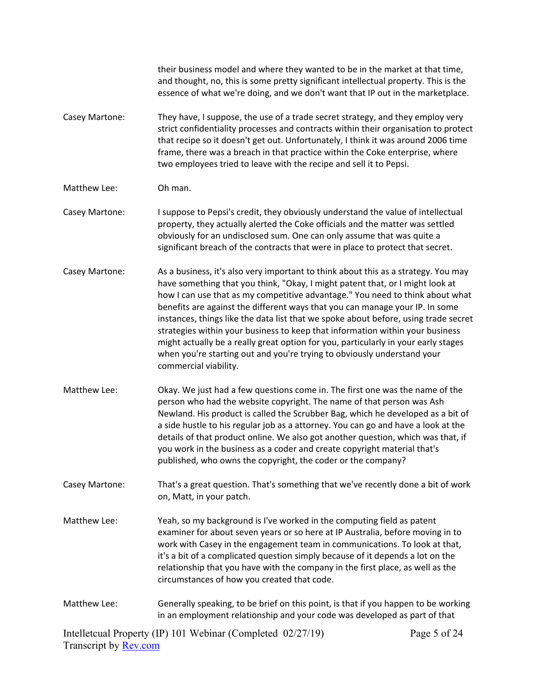|                       | their business model and where they wanted to be in the market at that time,<br>and thought, no, this is some pretty significant intellectual property. This is the<br>essence of what we're doing, and we don't want that IP out in the marketplace.                                                                                                                                                                                                                                                                                                                                                                                                                                                  |              |
|-----------------------|--------------------------------------------------------------------------------------------------------------------------------------------------------------------------------------------------------------------------------------------------------------------------------------------------------------------------------------------------------------------------------------------------------------------------------------------------------------------------------------------------------------------------------------------------------------------------------------------------------------------------------------------------------------------------------------------------------|--------------|
| Casey Martone:        | They have, I suppose, the use of a trade secret strategy, and they employ very<br>strict confidentiality processes and contracts within their organisation to protect<br>that recipe so it doesn't get out. Unfortunately, I think it was around 2006 time<br>frame, there was a breach in that practice within the Coke enterprise, where<br>two employees tried to leave with the recipe and sell it to Pepsi.                                                                                                                                                                                                                                                                                       |              |
| Matthew Lee:          | Oh man.                                                                                                                                                                                                                                                                                                                                                                                                                                                                                                                                                                                                                                                                                                |              |
| Casey Martone:        | I suppose to Pepsi's credit, they obviously understand the value of intellectual<br>property, they actually alerted the Coke officials and the matter was settled<br>obviously for an undisclosed sum. One can only assume that was quite a<br>significant breach of the contracts that were in place to protect that secret.                                                                                                                                                                                                                                                                                                                                                                          |              |
| Casey Martone:        | As a business, it's also very important to think about this as a strategy. You may<br>have something that you think, "Okay, I might patent that, or I might look at<br>how I can use that as my competitive advantage." You need to think about what<br>benefits are against the different ways that you can manage your IP. In some<br>instances, things like the data list that we spoke about before, using trade secret<br>strategies within your business to keep that information within your business<br>might actually be a really great option for you, particularly in your early stages<br>when you're starting out and you're trying to obviously understand your<br>commercial viability. |              |
| Matthew Lee:          | Okay. We just had a few questions come in. The first one was the name of the<br>person who had the website copyright. The name of that person was Ash<br>Newland. His product is called the Scrubber Bag, which he developed as a bit of<br>a side hustle to his regular job as a attorney. You can go and have a look at the<br>details of that product online. We also got another question, which was that, if<br>you work in the business as a coder and create copyright material that's<br>published, who owns the copyright, the coder or the company?                                                                                                                                          |              |
| Casey Martone:        | That's a great question. That's something that we've recently done a bit of work<br>on, Matt, in your patch.                                                                                                                                                                                                                                                                                                                                                                                                                                                                                                                                                                                           |              |
| Matthew Lee:          | Yeah, so my background is I've worked in the computing field as patent<br>examiner for about seven years or so here at IP Australia, before moving in to<br>work with Casey in the engagement team in communications. To look at that,<br>it's a bit of a complicated question simply because of it depends a lot on the<br>relationship that you have with the company in the first place, as well as the<br>circumstances of how you created that code.                                                                                                                                                                                                                                              |              |
| Matthew Lee:          | Generally speaking, to be brief on this point, is that if you happen to be working<br>in an employment relationship and your code was developed as part of that                                                                                                                                                                                                                                                                                                                                                                                                                                                                                                                                        |              |
| Transarint by Day sam | Intelletcual Property (IP) 101 Webinar (Completed 02/27/19)                                                                                                                                                                                                                                                                                                                                                                                                                                                                                                                                                                                                                                            | Page 5 of 24 |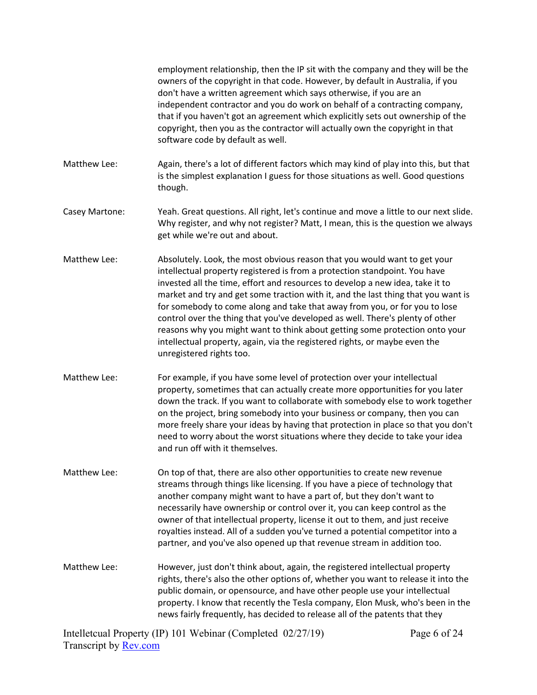employment relationship, then the IP sit with the company and they will be the owners of the copyright in that code. However, by default in Australia, if you don't have a written agreement which says otherwise, if you are an independent contractor and you do work on behalf of a contracting company, that if you haven't got an agreement which explicitly sets out ownership of the copyright, then you as the contractor will actually own the copyright in that software code by default as well. Matthew Lee: Again, there's a lot of different factors which may kind of play into this, but that is the simplest explanation I guess for those situations as well. Good questions though. Casey Martone: Yeah. Great questions. All right, let's continue and move a little to our next slide. Why register, and why not register? Matt, I mean, this is the question we always get while we're out and about. Matthew Lee: Absolutely. Look, the most obvious reason that you would want to get your intellectual property registered is from a protection standpoint. You have invested all the time, effort and resources to develop a new idea, take it to market and try and get some traction with it, and the last thing that you want is for somebody to come along and take that away from you, or for you to lose control over the thing that you've developed as well. There's plenty of other reasons why you might want to think about getting some protection onto your intellectual property, again, via the registered rights, or maybe even the unregistered rights too. Matthew Lee: For example, if you have some level of protection over your intellectual property, sometimes that can actually create more opportunities for you later down the track. If you want to collaborate with somebody else to work together on the project, bring somebody into your business or company, then you can more freely share your ideas by having that protection in place so that you don't need to worry about the worst situations where they decide to take your idea and run off with it themselves. Matthew Lee: On top of that, there are also other opportunities to create new revenue streams through things like licensing. If you have a piece of technology that another company might want to have a part of, but they don't want to necessarily have ownership or control over it, you can keep control as the owner of that intellectual property, license it out to them, and just receive royalties instead. All of a sudden you've turned a potential competitor into a partner, and you've also opened up that revenue stream in addition too. Matthew Lee: However, just don't think about, again, the registered intellectual property rights, there's also the other options of, whether you want to release it into the public domain, or opensource, and have other people use your intellectual property. I know that recently the Tesla company, Elon Musk, who's been in the news fairly frequently, has decided to release all of the patents that they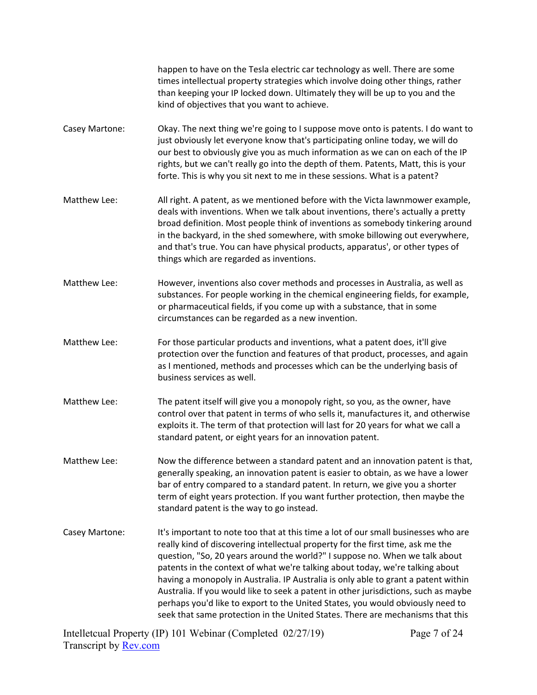happen to have on the Tesla electric car technology as well. There are some times intellectual property strategies which involve doing other things, rather than keeping your IP locked down. Ultimately they will be up to you and the kind of objectives that you want to achieve.

- Casey Martone: Okay. The next thing we're going to I suppose move onto is patents. I do want to just obviously let everyone know that's participating online today, we will do our best to obviously give you as much information as we can on each of the IP rights, but we can't really go into the depth of them. Patents, Matt, this is your forte. This is why you sit next to me in these sessions. What is a patent?
- Matthew Lee: All right. A patent, as we mentioned before with the Victa lawnmower example, deals with inventions. When we talk about inventions, there's actually a pretty broad definition. Most people think of inventions as somebody tinkering around in the backyard, in the shed somewhere, with smoke billowing out everywhere, and that's true. You can have physical products, apparatus', or other types of things which are regarded as inventions.
- Matthew Lee: However, inventions also cover methods and processes in Australia, as well as substances. For people working in the chemical engineering fields, for example, or pharmaceutical fields, if you come up with a substance, that in some circumstances can be regarded as a new invention.
- Matthew Lee: For those particular products and inventions, what a patent does, it'll give protection over the function and features of that product, processes, and again as I mentioned, methods and processes which can be the underlying basis of business services as well.
- Matthew Lee: The patent itself will give you a monopoly right, so you, as the owner, have control over that patent in terms of who sells it, manufactures it, and otherwise exploits it. The term of that protection will last for 20 years for what we call a standard patent, or eight years for an innovation patent.
- Matthew Lee: Now the difference between a standard patent and an innovation patent is that, generally speaking, an innovation patent is easier to obtain, as we have a lower bar of entry compared to a standard patent. In return, we give you a shorter term of eight years protection. If you want further protection, then maybe the standard patent is the way to go instead.
- Casey Martone: It's important to note too that at this time a lot of our small businesses who are really kind of discovering intellectual property for the first time, ask me the question, "So, 20 years around the world?" I suppose no. When we talk about patents in the context of what we're talking about today, we're talking about having a monopoly in Australia. IP Australia is only able to grant a patent within Australia. If you would like to seek a patent in other jurisdictions, such as maybe perhaps you'd like to export to the United States, you would obviously need to seek that same protection in the United States. There are mechanisms that this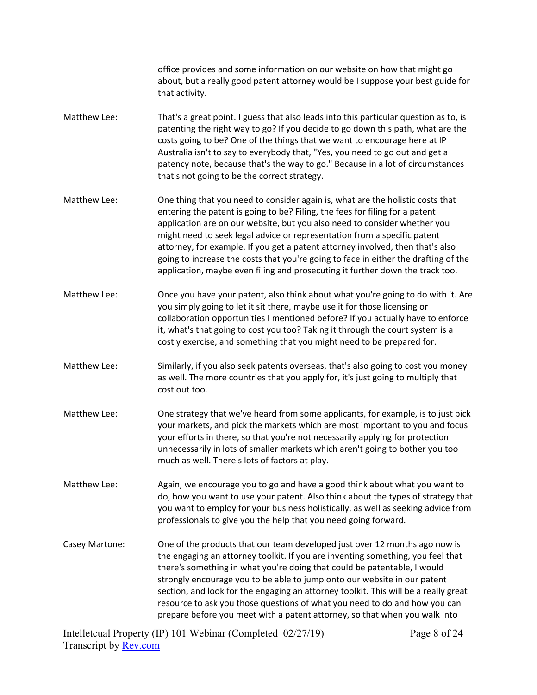office provides and some information on our website on how that might go about, but a really good patent attorney would be I suppose your best guide for that activity. Matthew Lee: That's a great point. I guess that also leads into this particular question as to, is patenting the right way to go? If you decide to go down this path, what are the costs going to be? One of the things that we want to encourage here at IP Australia isn't to say to everybody that, "Yes, you need to go out and get a patency note, because that's the way to go." Because in a lot of circumstances that's not going to be the correct strategy. Matthew Lee: One thing that you need to consider again is, what are the holistic costs that entering the patent is going to be? Filing, the fees for filing for a patent application are on our website, but you also need to consider whether you might need to seek legal advice or representation from a specific patent attorney, for example. If you get a patent attorney involved, then that's also going to increase the costs that you're going to face in either the drafting of the application, maybe even filing and prosecuting it further down the track too. Matthew Lee: Once you have your patent, also think about what you're going to do with it. Are you simply going to let it sit there, maybe use it for those licensing or collaboration opportunities I mentioned before? If you actually have to enforce it, what's that going to cost you too? Taking it through the court system is a costly exercise, and something that you might need to be prepared for. Matthew Lee: Similarly, if you also seek patents overseas, that's also going to cost you money as well. The more countries that you apply for, it's just going to multiply that cost out too. Matthew Lee: One strategy that we've heard from some applicants, for example, is to just pick your markets, and pick the markets which are most important to you and focus your efforts in there, so that you're not necessarily applying for protection unnecessarily in lots of smaller markets which aren't going to bother you too much as well. There's lots of factors at play. Matthew Lee: Again, we encourage you to go and have a good think about what you want to do, how you want to use your patent. Also think about the types of strategy that you want to employ for your business holistically, as well as seeking advice from professionals to give you the help that you need going forward. Casey Martone: One of the products that our team developed just over 12 months ago now is the engaging an attorney toolkit. If you are inventing something, you feel that there's something in what you're doing that could be patentable, I would strongly encourage you to be able to jump onto our website in our patent section, and look for the engaging an attorney toolkit. This will be a really great resource to ask you those questions of what you need to do and how you can prepare before you meet with a patent attorney, so that when you walk into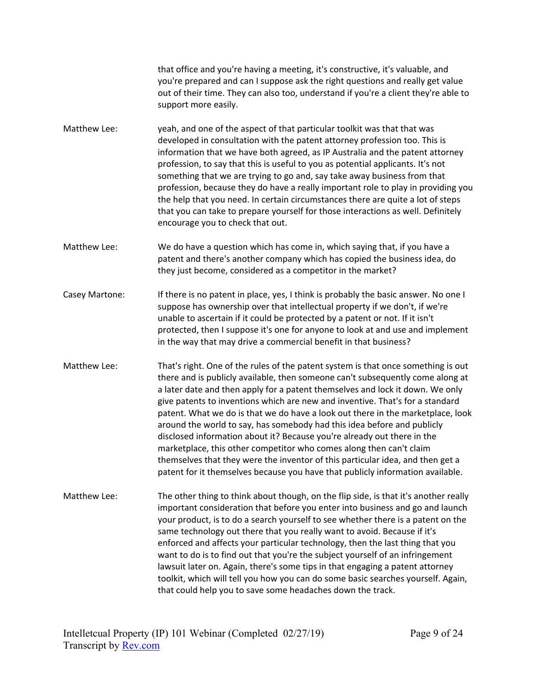that office and you're having a meeting, it's constructive, it's valuable, and you're prepared and can I suppose ask the right questions and really get value out of their time. They can also too, understand if you're a client they're able to support more easily.

- Matthew Lee: yeah, and one of the aspect of that particular toolkit was that that was developed in consultation with the patent attorney profession too. This is information that we have both agreed, as IP Australia and the patent attorney profession, to say that this is useful to you as potential applicants. It's not something that we are trying to go and, say take away business from that profession, because they do have a really important role to play in providing you the help that you need. In certain circumstances there are quite a lot of steps that you can take to prepare yourself for those interactions as well. Definitely encourage you to check that out.
- Matthew Lee: We do have a question which has come in, which saying that, if you have a patent and there's another company which has copied the business idea, do they just become, considered as a competitor in the market?
- Casey Martone: If there is no patent in place, yes, I think is probably the basic answer. No one I suppose has ownership over that intellectual property if we don't, if we're unable to ascertain if it could be protected by a patent or not. If it isn't protected, then I suppose it's one for anyone to look at and use and implement in the way that may drive a commercial benefit in that business?
- Matthew Lee: That's right. One of the rules of the patent system is that once something is out there and is publicly available, then someone can't subsequently come along at a later date and then apply for a patent themselves and lock it down. We only give patents to inventions which are new and inventive. That's for a standard patent. What we do is that we do have a look out there in the marketplace, look around the world to say, has somebody had this idea before and publicly disclosed information about it? Because you're already out there in the marketplace, this other competitor who comes along then can't claim themselves that they were the inventor of this particular idea, and then get a patent for it themselves because you have that publicly information available.
- Matthew Lee: The other thing to think about though, on the flip side, is that it's another really important consideration that before you enter into business and go and launch your product, is to do a search yourself to see whether there is a patent on the same technology out there that you really want to avoid. Because if it's enforced and affects your particular technology, then the last thing that you want to do is to find out that you're the subject yourself of an infringement lawsuit later on. Again, there's some tips in that engaging a patent attorney toolkit, which will tell you how you can do some basic searches yourself. Again, that could help you to save some headaches down the track.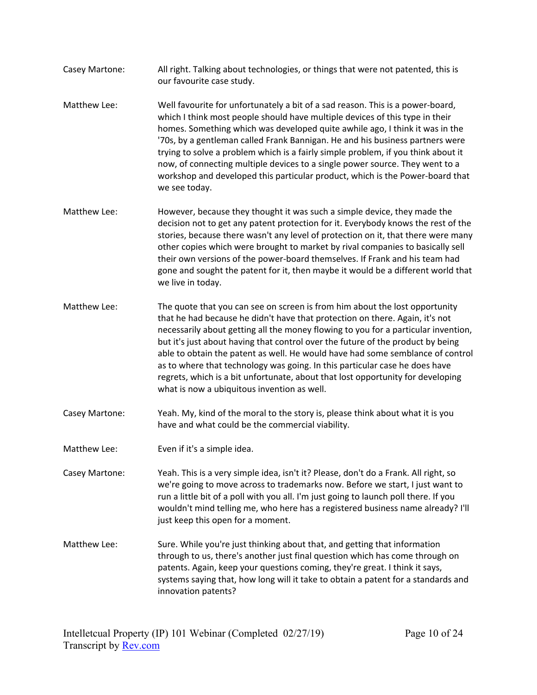- Casey Martone: All right. Talking about technologies, or things that were not patented, this is our favourite case study.
- Matthew Lee: Well favourite for unfortunately a bit of a sad reason. This is a power-board, which I think most people should have multiple devices of this type in their homes. Something which was developed quite awhile ago, I think it was in the '70s, by a gentleman called Frank Bannigan. He and his business partners were trying to solve a problem which is a fairly simple problem, if you think about it now, of connecting multiple devices to a single power source. They went to a workshop and developed this particular product, which is the Power-board that we see today.
- Matthew Lee: However, because they thought it was such a simple device, they made the decision not to get any patent protection for it. Everybody knows the rest of the stories, because there wasn't any level of protection on it, that there were many other copies which were brought to market by rival companies to basically sell their own versions of the power-board themselves. If Frank and his team had gone and sought the patent for it, then maybe it would be a different world that we live in today.
- Matthew Lee: The quote that you can see on screen is from him about the lost opportunity that he had because he didn't have that protection on there. Again, it's not necessarily about getting all the money flowing to you for a particular invention, but it's just about having that control over the future of the product by being able to obtain the patent as well. He would have had some semblance of control as to where that technology was going. In this particular case he does have regrets, which is a bit unfortunate, about that lost opportunity for developing what is now a ubiquitous invention as well.
- Casey Martone: Yeah. My, kind of the moral to the story is, please think about what it is you have and what could be the commercial viability.
- Matthew Lee: Even if it's a simple idea.
- Casey Martone: Yeah. This is a very simple idea, isn't it? Please, don't do a Frank. All right, so we're going to move across to trademarks now. Before we start, I just want to run a little bit of a poll with you all. I'm just going to launch poll there. If you wouldn't mind telling me, who here has a registered business name already? I'll just keep this open for a moment.
- Matthew Lee: Sure. While you're just thinking about that, and getting that information through to us, there's another just final question which has come through on patents. Again, keep your questions coming, they're great. I think it says, systems saying that, how long will it take to obtain a patent for a standards and innovation patents?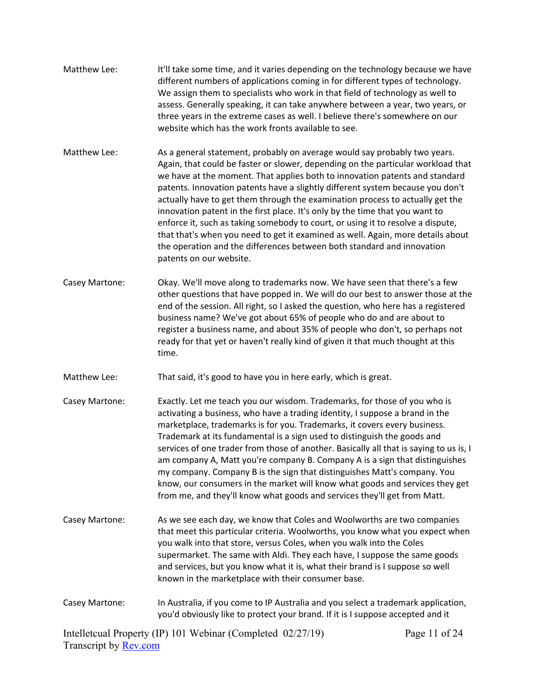- Matthew Lee: It'll take some time, and it varies depending on the technology because we have different numbers of applications coming in for different types of technology. We assign them to specialists who work in that field of technology as well to assess. Generally speaking, it can take anywhere between a year, two years, or three years in the extreme cases as well. I believe there's somewhere on our website which has the work fronts available to see.
- Matthew Lee: As a general statement, probably on average would say probably two years. Again, that could be faster or slower, depending on the particular workload that we have at the moment. That applies both to innovation patents and standard patents. Innovation patents have a slightly different system because you don't actually have to get them through the examination process to actually get the innovation patent in the first place. It's only by the time that you want to enforce it, such as taking somebody to court, or using it to resolve a dispute, that that's when you need to get it examined as well. Again, more details about the operation and the differences between both standard and innovation patents on our website.
- Casey Martone: Okay. We'll move along to trademarks now. We have seen that there's a few other questions that have popped in. We will do our best to answer those at the end of the session. All right, so I asked the question, who here has a registered business name? We've got about 65% of people who do and are about to register a business name, and about 35% of people who don't, so perhaps not ready for that yet or haven't really kind of given it that much thought at this time.
- Matthew Lee: That said, it's good to have you in here early, which is great.
- Casey Martone: Exactly. Let me teach you our wisdom. Trademarks, for those of you who is activating a business, who have a trading identity, I suppose a brand in the marketplace, trademarks is for you. Trademarks, it covers every business. Trademark at its fundamental is a sign used to distinguish the goods and services of one trader from those of another. Basically all that is saying to us is, I am company A, Matt you're company B. Company A is a sign that distinguishes my company. Company B is the sign that distinguishes Matt's company. You know, our consumers in the market will know what goods and services they get from me, and they'll know what goods and services they'll get from Matt.
- Casey Martone: As we see each day, we know that Coles and Woolworths are two companies that meet this particular criteria. Woolworths, you know what you expect when you walk into that store, versus Coles, when you walk into the Coles supermarket. The same with Aldi. They each have, I suppose the same goods and services, but you know what it is, what their brand is I suppose so well known in the marketplace with their consumer base.
- Casey Martone: In Australia, if you come to IP Australia and you select a trademark application, you'd obviously like to protect your brand. If it is I suppose accepted and it

Intelletcual Property (IP) 101 Webinar (Completed 02/27/19) Transcript by [Rev.com](https://www.rev.com/) Page 11 of 24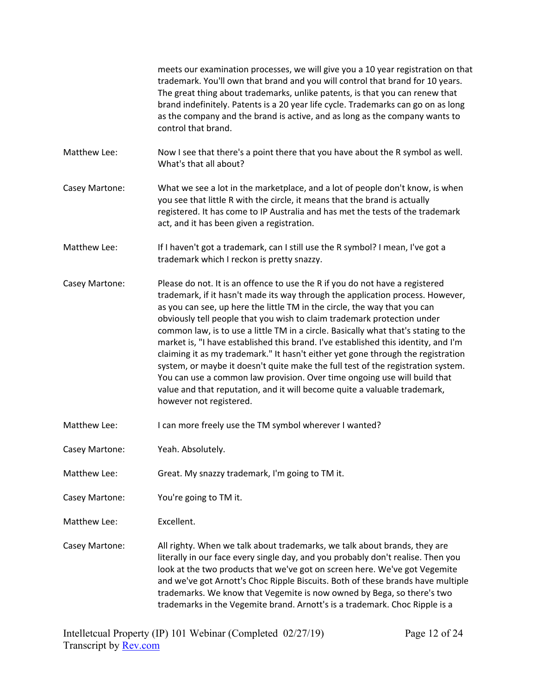|                | meets our examination processes, we will give you a 10 year registration on that<br>trademark. You'll own that brand and you will control that brand for 10 years.<br>The great thing about trademarks, unlike patents, is that you can renew that<br>brand indefinitely. Patents is a 20 year life cycle. Trademarks can go on as long<br>as the company and the brand is active, and as long as the company wants to<br>control that brand.                                                                                                                                                                                                                                                                                                                                                                                                                    |
|----------------|------------------------------------------------------------------------------------------------------------------------------------------------------------------------------------------------------------------------------------------------------------------------------------------------------------------------------------------------------------------------------------------------------------------------------------------------------------------------------------------------------------------------------------------------------------------------------------------------------------------------------------------------------------------------------------------------------------------------------------------------------------------------------------------------------------------------------------------------------------------|
| Matthew Lee:   | Now I see that there's a point there that you have about the R symbol as well.<br>What's that all about?                                                                                                                                                                                                                                                                                                                                                                                                                                                                                                                                                                                                                                                                                                                                                         |
| Casey Martone: | What we see a lot in the marketplace, and a lot of people don't know, is when<br>you see that little R with the circle, it means that the brand is actually<br>registered. It has come to IP Australia and has met the tests of the trademark<br>act, and it has been given a registration.                                                                                                                                                                                                                                                                                                                                                                                                                                                                                                                                                                      |
| Matthew Lee:   | If I haven't got a trademark, can I still use the R symbol? I mean, I've got a<br>trademark which I reckon is pretty snazzy.                                                                                                                                                                                                                                                                                                                                                                                                                                                                                                                                                                                                                                                                                                                                     |
| Casey Martone: | Please do not. It is an offence to use the R if you do not have a registered<br>trademark, if it hasn't made its way through the application process. However,<br>as you can see, up here the little TM in the circle, the way that you can<br>obviously tell people that you wish to claim trademark protection under<br>common law, is to use a little TM in a circle. Basically what that's stating to the<br>market is, "I have established this brand. I've established this identity, and I'm<br>claiming it as my trademark." It hasn't either yet gone through the registration<br>system, or maybe it doesn't quite make the full test of the registration system.<br>You can use a common law provision. Over time ongoing use will build that<br>value and that reputation, and it will become quite a valuable trademark,<br>however not registered. |
| Matthew Lee:   | I can more freely use the TM symbol wherever I wanted?                                                                                                                                                                                                                                                                                                                                                                                                                                                                                                                                                                                                                                                                                                                                                                                                           |
| Casey Martone: | Yeah. Absolutely.                                                                                                                                                                                                                                                                                                                                                                                                                                                                                                                                                                                                                                                                                                                                                                                                                                                |
| Matthew Lee:   | Great. My snazzy trademark, I'm going to TM it.                                                                                                                                                                                                                                                                                                                                                                                                                                                                                                                                                                                                                                                                                                                                                                                                                  |
| Casey Martone: | You're going to TM it.                                                                                                                                                                                                                                                                                                                                                                                                                                                                                                                                                                                                                                                                                                                                                                                                                                           |
| Matthew Lee:   | Excellent.                                                                                                                                                                                                                                                                                                                                                                                                                                                                                                                                                                                                                                                                                                                                                                                                                                                       |
| Casey Martone: | All righty. When we talk about trademarks, we talk about brands, they are<br>literally in our face every single day, and you probably don't realise. Then you<br>look at the two products that we've got on screen here. We've got Vegemite<br>and we've got Arnott's Choc Ripple Biscuits. Both of these brands have multiple<br>trademarks. We know that Vegemite is now owned by Bega, so there's two<br>trademarks in the Vegemite brand. Arnott's is a trademark. Choc Ripple is a                                                                                                                                                                                                                                                                                                                                                                          |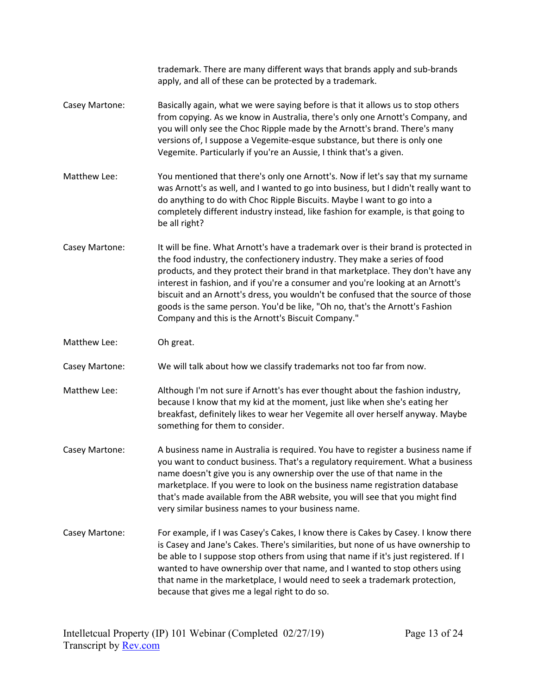|                | trademark. There are many different ways that brands apply and sub-brands<br>apply, and all of these can be protected by a trademark.                                                                                                                                                                                                                                                                                                                                                                                                                            |
|----------------|------------------------------------------------------------------------------------------------------------------------------------------------------------------------------------------------------------------------------------------------------------------------------------------------------------------------------------------------------------------------------------------------------------------------------------------------------------------------------------------------------------------------------------------------------------------|
| Casey Martone: | Basically again, what we were saying before is that it allows us to stop others<br>from copying. As we know in Australia, there's only one Arnott's Company, and<br>you will only see the Choc Ripple made by the Arnott's brand. There's many<br>versions of, I suppose a Vegemite-esque substance, but there is only one<br>Vegemite. Particularly if you're an Aussie, I think that's a given.                                                                                                                                                                |
| Matthew Lee:   | You mentioned that there's only one Arnott's. Now if let's say that my surname<br>was Arnott's as well, and I wanted to go into business, but I didn't really want to<br>do anything to do with Choc Ripple Biscuits. Maybe I want to go into a<br>completely different industry instead, like fashion for example, is that going to<br>be all right?                                                                                                                                                                                                            |
| Casey Martone: | It will be fine. What Arnott's have a trademark over is their brand is protected in<br>the food industry, the confectionery industry. They make a series of food<br>products, and they protect their brand in that marketplace. They don't have any<br>interest in fashion, and if you're a consumer and you're looking at an Arnott's<br>biscuit and an Arnott's dress, you wouldn't be confused that the source of those<br>goods is the same person. You'd be like, "Oh no, that's the Arnott's Fashion<br>Company and this is the Arnott's Biscuit Company." |
| Matthew Lee:   | Oh great.                                                                                                                                                                                                                                                                                                                                                                                                                                                                                                                                                        |
|                |                                                                                                                                                                                                                                                                                                                                                                                                                                                                                                                                                                  |
| Casey Martone: | We will talk about how we classify trademarks not too far from now.                                                                                                                                                                                                                                                                                                                                                                                                                                                                                              |
| Matthew Lee:   | Although I'm not sure if Arnott's has ever thought about the fashion industry,<br>because I know that my kid at the moment, just like when she's eating her<br>breakfast, definitely likes to wear her Vegemite all over herself anyway. Maybe<br>something for them to consider.                                                                                                                                                                                                                                                                                |
| Casey Martone: | A business name in Australia is required. You have to register a business name if<br>you want to conduct business. That's a regulatory requirement. What a business<br>name doesn't give you is any ownership over the use of that name in the<br>marketplace. If you were to look on the business name registration database<br>that's made available from the ABR website, you will see that you might find<br>very similar business names to your business name.                                                                                              |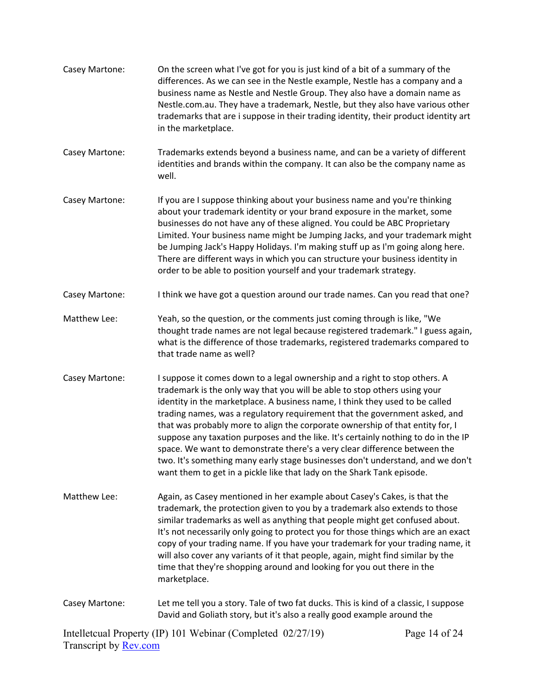| Casey Martone:        | On the screen what I've got for you is just kind of a bit of a summary of the<br>differences. As we can see in the Nestle example, Nestle has a company and a<br>business name as Nestle and Nestle Group. They also have a domain name as<br>Nestle.com.au. They have a trademark, Nestle, but they also have various other<br>trademarks that are i suppose in their trading identity, their product identity art<br>in the marketplace.                                                                                                                                                                                                                                                                                            |               |
|-----------------------|---------------------------------------------------------------------------------------------------------------------------------------------------------------------------------------------------------------------------------------------------------------------------------------------------------------------------------------------------------------------------------------------------------------------------------------------------------------------------------------------------------------------------------------------------------------------------------------------------------------------------------------------------------------------------------------------------------------------------------------|---------------|
| Casey Martone:        | Trademarks extends beyond a business name, and can be a variety of different<br>identities and brands within the company. It can also be the company name as<br>well.                                                                                                                                                                                                                                                                                                                                                                                                                                                                                                                                                                 |               |
| Casey Martone:        | If you are I suppose thinking about your business name and you're thinking<br>about your trademark identity or your brand exposure in the market, some<br>businesses do not have any of these aligned. You could be ABC Proprietary<br>Limited. Your business name might be Jumping Jacks, and your trademark might<br>be Jumping Jack's Happy Holidays. I'm making stuff up as I'm going along here.<br>There are different ways in which you can structure your business identity in<br>order to be able to position yourself and your trademark strategy.                                                                                                                                                                          |               |
| Casey Martone:        | I think we have got a question around our trade names. Can you read that one?                                                                                                                                                                                                                                                                                                                                                                                                                                                                                                                                                                                                                                                         |               |
| Matthew Lee:          | Yeah, so the question, or the comments just coming through is like, "We<br>thought trade names are not legal because registered trademark." I guess again,<br>what is the difference of those trademarks, registered trademarks compared to<br>that trade name as well?                                                                                                                                                                                                                                                                                                                                                                                                                                                               |               |
| Casey Martone:        | I suppose it comes down to a legal ownership and a right to stop others. A<br>trademark is the only way that you will be able to stop others using your<br>identity in the marketplace. A business name, I think they used to be called<br>trading names, was a regulatory requirement that the government asked, and<br>that was probably more to align the corporate ownership of that entity for, I<br>suppose any taxation purposes and the like. It's certainly nothing to do in the IP<br>space. We want to demonstrate there's a very clear difference between the<br>two. It's something many early stage businesses don't understand, and we don't<br>want them to get in a pickle like that lady on the Shark Tank episode. |               |
| Matthew Lee:          | Again, as Casey mentioned in her example about Casey's Cakes, is that the<br>trademark, the protection given to you by a trademark also extends to those<br>similar trademarks as well as anything that people might get confused about.<br>It's not necessarily only going to protect you for those things which are an exact<br>copy of your trading name. If you have your trademark for your trading name, it<br>will also cover any variants of it that people, again, might find similar by the<br>time that they're shopping around and looking for you out there in the<br>marketplace.                                                                                                                                       |               |
| Casey Martone:        | Let me tell you a story. Tale of two fat ducks. This is kind of a classic, I suppose<br>David and Goliath story, but it's also a really good example around the                                                                                                                                                                                                                                                                                                                                                                                                                                                                                                                                                                       |               |
| Transcript by Rev.com | Intelletcual Property (IP) 101 Webinar (Completed 02/27/19)                                                                                                                                                                                                                                                                                                                                                                                                                                                                                                                                                                                                                                                                           | Page 14 of 24 |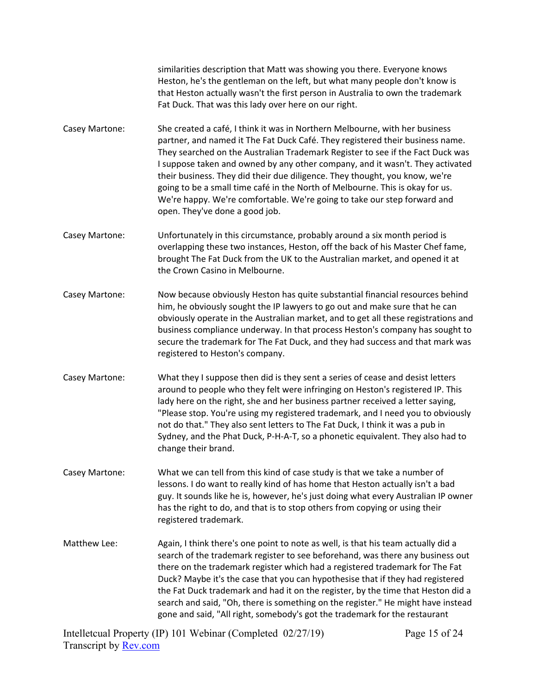similarities description that Matt was showing you there. Everyone knows Heston, he's the gentleman on the left, but what many people don't know is that Heston actually wasn't the first person in Australia to own the trademark Fat Duck. That was this lady over here on our right.

- Casey Martone: She created a café, I think it was in Northern Melbourne, with her business partner, and named it The Fat Duck Café. They registered their business name. They searched on the Australian Trademark Register to see if the Fact Duck was I suppose taken and owned by any other company, and it wasn't. They activated their business. They did their due diligence. They thought, you know, we're going to be a small time café in the North of Melbourne. This is okay for us. We're happy. We're comfortable. We're going to take our step forward and open. They've done a good job.
- Casey Martone: Unfortunately in this circumstance, probably around a six month period is overlapping these two instances, Heston, off the back of his Master Chef fame, brought The Fat Duck from the UK to the Australian market, and opened it at the Crown Casino in Melbourne.
- Casey Martone: Now because obviously Heston has quite substantial financial resources behind him, he obviously sought the IP lawyers to go out and make sure that he can obviously operate in the Australian market, and to get all these registrations and business compliance underway. In that process Heston's company has sought to secure the trademark for The Fat Duck, and they had success and that mark was registered to Heston's company.
- Casey Martone: What they I suppose then did is they sent a series of cease and desist letters around to people who they felt were infringing on Heston's registered IP. This lady here on the right, she and her business partner received a letter saying, "Please stop. You're using my registered trademark, and I need you to obviously not do that." They also sent letters to The Fat Duck, I think it was a pub in Sydney, and the Phat Duck, P-H-A-T, so a phonetic equivalent. They also had to change their brand.
- Casey Martone: What we can tell from this kind of case study is that we take a number of lessons. I do want to really kind of has home that Heston actually isn't a bad guy. It sounds like he is, however, he's just doing what every Australian IP owner has the right to do, and that is to stop others from copying or using their registered trademark.
- Matthew Lee: Again, I think there's one point to note as well, is that his team actually did a search of the trademark register to see beforehand, was there any business out there on the trademark register which had a registered trademark for The Fat Duck? Maybe it's the case that you can hypothesise that if they had registered the Fat Duck trademark and had it on the register, by the time that Heston did a search and said, "Oh, there is something on the register." He might have instead gone and said, "All right, somebody's got the trademark for the restaurant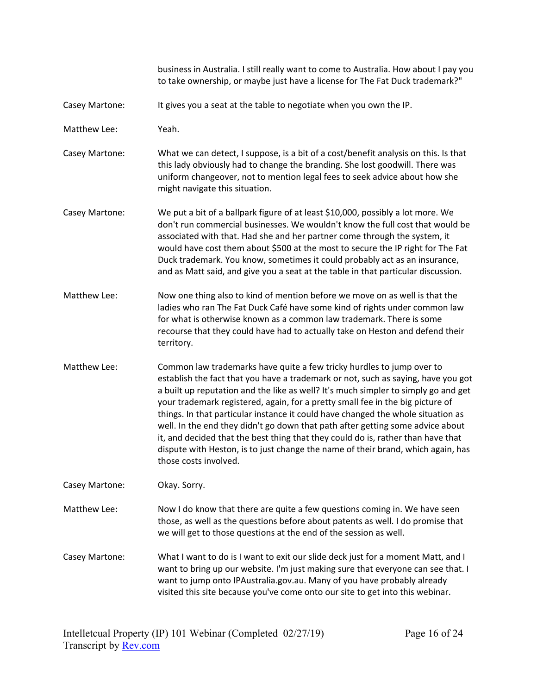business in Australia. I still really want to come to Australia. How about I pay you to take ownership, or maybe just have a license for The Fat Duck trademark?"

- Casey Martone: It gives you a seat at the table to negotiate when you own the IP.
- Matthew Lee: Yeah.
- Casey Martone: What we can detect, I suppose, is a bit of a cost/benefit analysis on this. Is that this lady obviously had to change the branding. She lost goodwill. There was uniform changeover, not to mention legal fees to seek advice about how she might navigate this situation.
- Casey Martone: We put a bit of a ballpark figure of at least \$10,000, possibly a lot more. We don't run commercial businesses. We wouldn't know the full cost that would be associated with that. Had she and her partner come through the system, it would have cost them about \$500 at the most to secure the IP right for The Fat Duck trademark. You know, sometimes it could probably act as an insurance, and as Matt said, and give you a seat at the table in that particular discussion.
- Matthew Lee: Now one thing also to kind of mention before we move on as well is that the ladies who ran The Fat Duck Café have some kind of rights under common law for what is otherwise known as a common law trademark. There is some recourse that they could have had to actually take on Heston and defend their territory.
- Matthew Lee: Common law trademarks have quite a few tricky hurdles to jump over to establish the fact that you have a trademark or not, such as saying, have you got a built up reputation and the like as well? It's much simpler to simply go and get your trademark registered, again, for a pretty small fee in the big picture of things. In that particular instance it could have changed the whole situation as well. In the end they didn't go down that path after getting some advice about it, and decided that the best thing that they could do is, rather than have that dispute with Heston, is to just change the name of their brand, which again, has those costs involved.

Casey Martone: Okay. Sorry.

Matthew Lee: Now I do know that there are quite a few questions coming in. We have seen those, as well as the questions before about patents as well. I do promise that we will get to those questions at the end of the session as well.

Casey Martone: What I want to do is I want to exit our slide deck just for a moment Matt, and I want to bring up our website. I'm just making sure that everyone can see that. I want to jump onto IPAustralia.gov.au. Many of you have probably already visited this site because you've come onto our site to get into this webinar.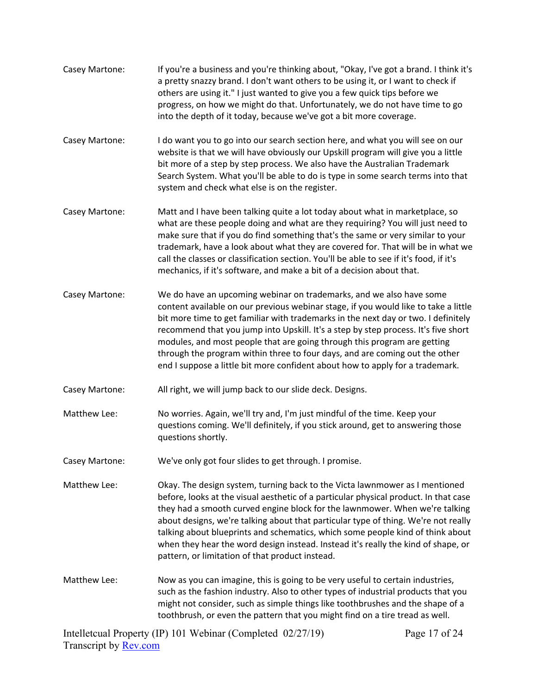Intelletcual Property (IP) 101 Webinar (Completed 02/27/19) Transcript by [Rev.com](https://www.rev.com/) Page 17 of 24 Casey Martone: If you're a business and you're thinking about, "Okay, I've got a brand. I think it's a pretty snazzy brand. I don't want others to be using it, or I want to check if others are using it." I just wanted to give you a few quick tips before we progress, on how we might do that. Unfortunately, we do not have time to go into the depth of it today, because we've got a bit more coverage. Casey Martone: I do want you to go into our search section here, and what you will see on our website is that we will have obviously our Upskill program will give you a little bit more of a step by step process. We also have the Australian Trademark Search System. What you'll be able to do is type in some search terms into that system and check what else is on the register. Casey Martone: Matt and I have been talking quite a lot today about what in marketplace, so what are these people doing and what are they requiring? You will just need to make sure that if you do find something that's the same or very similar to your trademark, have a look about what they are covered for. That will be in what we call the classes or classification section. You'll be able to see if it's food, if it's mechanics, if it's software, and make a bit of a decision about that. Casey Martone: We do have an upcoming webinar on trademarks, and we also have some content available on our previous webinar stage, if you would like to take a little bit more time to get familiar with trademarks in the next day or two. I definitely recommend that you jump into Upskill. It's a step by step process. It's five short modules, and most people that are going through this program are getting through the program within three to four days, and are coming out the other end I suppose a little bit more confident about how to apply for a trademark. Casey Martone: All right, we will jump back to our slide deck. Designs. Matthew Lee: No worries. Again, we'll try and, I'm just mindful of the time. Keep your questions coming. We'll definitely, if you stick around, get to answering those questions shortly. Casey Martone: We've only got four slides to get through. I promise. Matthew Lee: Okay. The design system, turning back to the Victa lawnmower as I mentioned before, looks at the visual aesthetic of a particular physical product. In that case they had a smooth curved engine block for the lawnmower. When we're talking about designs, we're talking about that particular type of thing. We're not really talking about blueprints and schematics, which some people kind of think about when they hear the word design instead. Instead it's really the kind of shape, or pattern, or limitation of that product instead. Matthew Lee: Now as you can imagine, this is going to be very useful to certain industries, such as the fashion industry. Also to other types of industrial products that you might not consider, such as simple things like toothbrushes and the shape of a toothbrush, or even the pattern that you might find on a tire tread as well.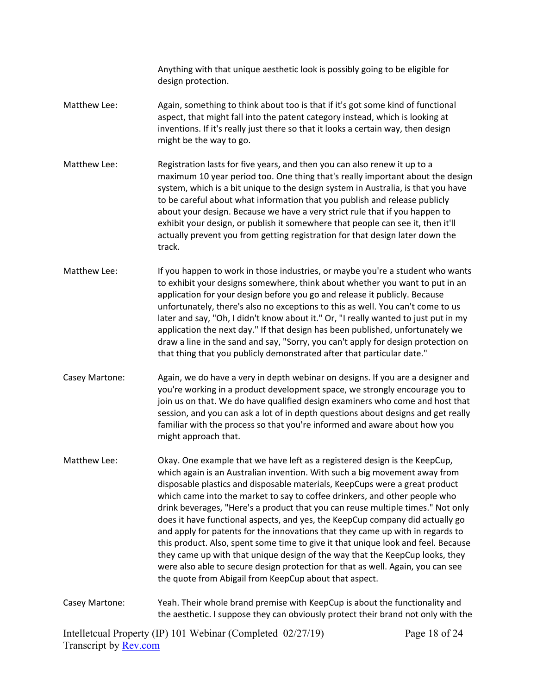Anything with that unique aesthetic look is possibly going to be eligible for design protection.

- Matthew Lee: Again, something to think about too is that if it's got some kind of functional aspect, that might fall into the patent category instead, which is looking at inventions. If it's really just there so that it looks a certain way, then design might be the way to go.
- Matthew Lee: Registration lasts for five years, and then you can also renew it up to a maximum 10 year period too. One thing that's really important about the design system, which is a bit unique to the design system in Australia, is that you have to be careful about what information that you publish and release publicly about your design. Because we have a very strict rule that if you happen to exhibit your design, or publish it somewhere that people can see it, then it'll actually prevent you from getting registration for that design later down the track.
- Matthew Lee: If you happen to work in those industries, or maybe you're a student who wants to exhibit your designs somewhere, think about whether you want to put in an application for your design before you go and release it publicly. Because unfortunately, there's also no exceptions to this as well. You can't come to us later and say, "Oh, I didn't know about it." Or, "I really wanted to just put in my application the next day." If that design has been published, unfortunately we draw a line in the sand and say, "Sorry, you can't apply for design protection on that thing that you publicly demonstrated after that particular date."
- Casey Martone: Again, we do have a very in depth webinar on designs. If you are a designer and you're working in a product development space, we strongly encourage you to join us on that. We do have qualified design examiners who come and host that session, and you can ask a lot of in depth questions about designs and get really familiar with the process so that you're informed and aware about how you might approach that.
- Matthew Lee: Okay. One example that we have left as a registered design is the KeepCup, which again is an Australian invention. With such a big movement away from disposable plastics and disposable materials, KeepCups were a great product which came into the market to say to coffee drinkers, and other people who drink beverages, "Here's a product that you can reuse multiple times." Not only does it have functional aspects, and yes, the KeepCup company did actually go and apply for patents for the innovations that they came up with in regards to this product. Also, spent some time to give it that unique look and feel. Because they came up with that unique design of the way that the KeepCup looks, they were also able to secure design protection for that as well. Again, you can see the quote from Abigail from KeepCup about that aspect.
- Casey Martone: Yeah. Their whole brand premise with KeepCup is about the functionality and the aesthetic. I suppose they can obviously protect their brand not only with the

Intelletcual Property (IP) 101 Webinar (Completed 02/27/19) Transcript by [Rev.com](https://www.rev.com/)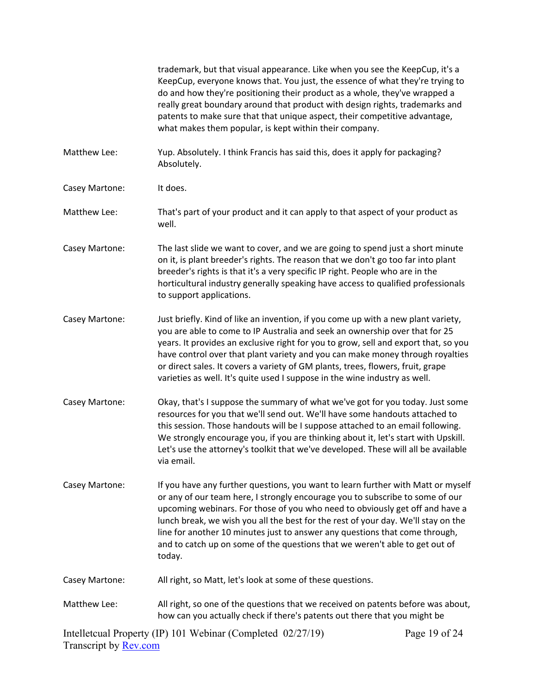|                              | trademark, but that visual appearance. Like when you see the KeepCup, it's a<br>KeepCup, everyone knows that. You just, the essence of what they're trying to<br>do and how they're positioning their product as a whole, they've wrapped a<br>really great boundary around that product with design rights, trademarks and<br>patents to make sure that that unique aspect, their competitive advantage,<br>what makes them popular, is kept within their company.                                            |               |
|------------------------------|----------------------------------------------------------------------------------------------------------------------------------------------------------------------------------------------------------------------------------------------------------------------------------------------------------------------------------------------------------------------------------------------------------------------------------------------------------------------------------------------------------------|---------------|
| Matthew Lee:                 | Yup. Absolutely. I think Francis has said this, does it apply for packaging?<br>Absolutely.                                                                                                                                                                                                                                                                                                                                                                                                                    |               |
| Casey Martone:               | It does.                                                                                                                                                                                                                                                                                                                                                                                                                                                                                                       |               |
| Matthew Lee:                 | That's part of your product and it can apply to that aspect of your product as<br>well.                                                                                                                                                                                                                                                                                                                                                                                                                        |               |
| Casey Martone:               | The last slide we want to cover, and we are going to spend just a short minute<br>on it, is plant breeder's rights. The reason that we don't go too far into plant<br>breeder's rights is that it's a very specific IP right. People who are in the<br>horticultural industry generally speaking have access to qualified professionals<br>to support applications.                                                                                                                                            |               |
| Casey Martone:               | Just briefly. Kind of like an invention, if you come up with a new plant variety,<br>you are able to come to IP Australia and seek an ownership over that for 25<br>years. It provides an exclusive right for you to grow, sell and export that, so you<br>have control over that plant variety and you can make money through royalties<br>or direct sales. It covers a variety of GM plants, trees, flowers, fruit, grape<br>varieties as well. It's quite used I suppose in the wine industry as well.      |               |
| Casey Martone:               | Okay, that's I suppose the summary of what we've got for you today. Just some<br>resources for you that we'll send out. We'll have some handouts attached to<br>this session. Those handouts will be I suppose attached to an email following.<br>We strongly encourage you, if you are thinking about it, let's start with Upskill.<br>Let's use the attorney's toolkit that we've developed. These will all be available<br>via email.                                                                       |               |
| Casey Martone:               | If you have any further questions, you want to learn further with Matt or myself<br>or any of our team here, I strongly encourage you to subscribe to some of our<br>upcoming webinars. For those of you who need to obviously get off and have a<br>lunch break, we wish you all the best for the rest of your day. We'll stay on the<br>line for another 10 minutes just to answer any questions that come through,<br>and to catch up on some of the questions that we weren't able to get out of<br>today. |               |
| Casey Martone:               | All right, so Matt, let's look at some of these questions.                                                                                                                                                                                                                                                                                                                                                                                                                                                     |               |
| Matthew Lee:                 | All right, so one of the questions that we received on patents before was about,<br>how can you actually check if there's patents out there that you might be                                                                                                                                                                                                                                                                                                                                                  |               |
| Transcript by <b>Rev.com</b> | Intelletcual Property (IP) 101 Webinar (Completed 02/27/19)                                                                                                                                                                                                                                                                                                                                                                                                                                                    | Page 19 of 24 |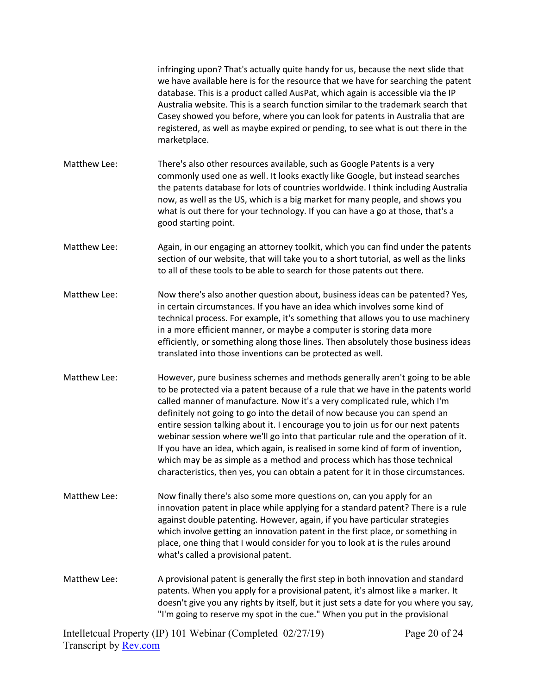|              | infringing upon? That's actually quite handy for us, because the next slide that<br>we have available here is for the resource that we have for searching the patent<br>database. This is a product called AusPat, which again is accessible via the IP<br>Australia website. This is a search function similar to the trademark search that<br>Casey showed you before, where you can look for patents in Australia that are<br>registered, as well as maybe expired or pending, to see what is out there in the<br>marketplace.                                                                                                                                                                                                                         |  |
|--------------|-----------------------------------------------------------------------------------------------------------------------------------------------------------------------------------------------------------------------------------------------------------------------------------------------------------------------------------------------------------------------------------------------------------------------------------------------------------------------------------------------------------------------------------------------------------------------------------------------------------------------------------------------------------------------------------------------------------------------------------------------------------|--|
| Matthew Lee: | There's also other resources available, such as Google Patents is a very<br>commonly used one as well. It looks exactly like Google, but instead searches<br>the patents database for lots of countries worldwide. I think including Australia<br>now, as well as the US, which is a big market for many people, and shows you<br>what is out there for your technology. If you can have a go at those, that's a<br>good starting point.                                                                                                                                                                                                                                                                                                                  |  |
| Matthew Lee: | Again, in our engaging an attorney toolkit, which you can find under the patents<br>section of our website, that will take you to a short tutorial, as well as the links<br>to all of these tools to be able to search for those patents out there.                                                                                                                                                                                                                                                                                                                                                                                                                                                                                                       |  |
| Matthew Lee: | Now there's also another question about, business ideas can be patented? Yes,<br>in certain circumstances. If you have an idea which involves some kind of<br>technical process. For example, it's something that allows you to use machinery<br>in a more efficient manner, or maybe a computer is storing data more<br>efficiently, or something along those lines. Then absolutely those business ideas<br>translated into those inventions can be protected as well.                                                                                                                                                                                                                                                                                  |  |
| Matthew Lee: | However, pure business schemes and methods generally aren't going to be able<br>to be protected via a patent because of a rule that we have in the patents world<br>called manner of manufacture. Now it's a very complicated rule, which I'm<br>definitely not going to go into the detail of now because you can spend an<br>entire session talking about it. I encourage you to join us for our next patents<br>webinar session where we'll go into that particular rule and the operation of it.<br>If you have an idea, which again, is realised in some kind of form of invention,<br>which may be as simple as a method and process which has those technical<br>characteristics, then yes, you can obtain a patent for it in those circumstances. |  |
| Matthew Lee: | Now finally there's also some more questions on, can you apply for an<br>innovation patent in place while applying for a standard patent? There is a rule<br>against double patenting. However, again, if you have particular strategies<br>which involve getting an innovation patent in the first place, or something in<br>place, one thing that I would consider for you to look at is the rules around<br>what's called a provisional patent.                                                                                                                                                                                                                                                                                                        |  |
| Matthew Lee: | A provisional patent is generally the first step in both innovation and standard<br>patents. When you apply for a provisional patent, it's almost like a marker. It<br>doesn't give you any rights by itself, but it just sets a date for you where you say,<br>"I'm going to reserve my spot in the cue." When you put in the provisional                                                                                                                                                                                                                                                                                                                                                                                                                |  |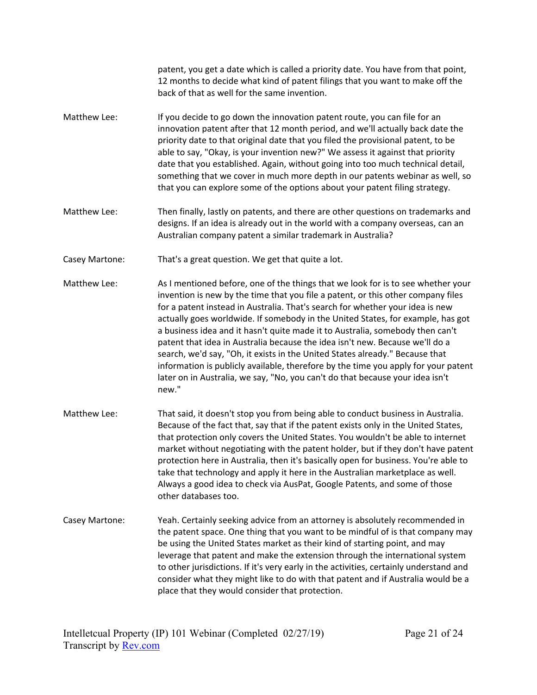patent, you get a date which is called a priority date. You have from that point, 12 months to decide what kind of patent filings that you want to make off the back of that as well for the same invention.

- Matthew Lee: If you decide to go down the innovation patent route, you can file for an innovation patent after that 12 month period, and we'll actually back date the priority date to that original date that you filed the provisional patent, to be able to say, "Okay, is your invention new?" We assess it against that priority date that you established. Again, without going into too much technical detail, something that we cover in much more depth in our patents webinar as well, so that you can explore some of the options about your patent filing strategy.
- Matthew Lee: Then finally, lastly on patents, and there are other questions on trademarks and designs. If an idea is already out in the world with a company overseas, can an Australian company patent a similar trademark in Australia?

Casey Martone: That's a great question. We get that quite a lot.

- Matthew Lee: As I mentioned before, one of the things that we look for is to see whether your invention is new by the time that you file a patent, or this other company files for a patent instead in Australia. That's search for whether your idea is new actually goes worldwide. If somebody in the United States, for example, has got a business idea and it hasn't quite made it to Australia, somebody then can't patent that idea in Australia because the idea isn't new. Because we'll do a search, we'd say, "Oh, it exists in the United States already." Because that information is publicly available, therefore by the time you apply for your patent later on in Australia, we say, "No, you can't do that because your idea isn't new."
- Matthew Lee: That said, it doesn't stop you from being able to conduct business in Australia. Because of the fact that, say that if the patent exists only in the United States, that protection only covers the United States. You wouldn't be able to internet market without negotiating with the patent holder, but if they don't have patent protection here in Australia, then it's basically open for business. You're able to take that technology and apply it here in the Australian marketplace as well. Always a good idea to check via AusPat, Google Patents, and some of those other databases too.
- Casey Martone: Yeah. Certainly seeking advice from an attorney is absolutely recommended in the patent space. One thing that you want to be mindful of is that company may be using the United States market as their kind of starting point, and may leverage that patent and make the extension through the international system to other jurisdictions. If it's very early in the activities, certainly understand and consider what they might like to do with that patent and if Australia would be a place that they would consider that protection.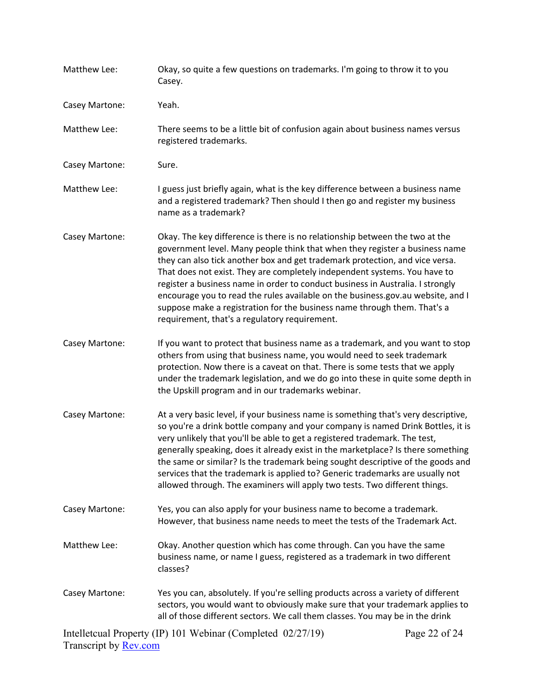| Matthew Lee:   | Okay, so quite a few questions on trademarks. I'm going to throw it to you<br>Casey.                                                                                                                                                                                                                                                                                                                                                                                                                                                                                                                                      |               |
|----------------|---------------------------------------------------------------------------------------------------------------------------------------------------------------------------------------------------------------------------------------------------------------------------------------------------------------------------------------------------------------------------------------------------------------------------------------------------------------------------------------------------------------------------------------------------------------------------------------------------------------------------|---------------|
| Casey Martone: | Yeah.                                                                                                                                                                                                                                                                                                                                                                                                                                                                                                                                                                                                                     |               |
| Matthew Lee:   | There seems to be a little bit of confusion again about business names versus<br>registered trademarks.                                                                                                                                                                                                                                                                                                                                                                                                                                                                                                                   |               |
| Casey Martone: | Sure.                                                                                                                                                                                                                                                                                                                                                                                                                                                                                                                                                                                                                     |               |
| Matthew Lee:   | I guess just briefly again, what is the key difference between a business name<br>and a registered trademark? Then should I then go and register my business<br>name as a trademark?                                                                                                                                                                                                                                                                                                                                                                                                                                      |               |
| Casey Martone: | Okay. The key difference is there is no relationship between the two at the<br>government level. Many people think that when they register a business name<br>they can also tick another box and get trademark protection, and vice versa.<br>That does not exist. They are completely independent systems. You have to<br>register a business name in order to conduct business in Australia. I strongly<br>encourage you to read the rules available on the business.gov.au website, and I<br>suppose make a registration for the business name through them. That's a<br>requirement, that's a regulatory requirement. |               |
| Casey Martone: | If you want to protect that business name as a trademark, and you want to stop<br>others from using that business name, you would need to seek trademark<br>protection. Now there is a caveat on that. There is some tests that we apply<br>under the trademark legislation, and we do go into these in quite some depth in<br>the Upskill program and in our trademarks webinar.                                                                                                                                                                                                                                         |               |
| Casey Martone: | At a very basic level, if your business name is something that's very descriptive,<br>so you're a drink bottle company and your company is named Drink Bottles, it is<br>very unlikely that you'll be able to get a registered trademark. The test,<br>generally speaking, does it already exist in the marketplace? Is there something<br>the same or similar? Is the trademark being sought descriptive of the goods and<br>services that the trademark is applied to? Generic trademarks are usually not<br>allowed through. The examiners will apply two tests. Two different things.                                 |               |
| Casey Martone: | Yes, you can also apply for your business name to become a trademark.<br>However, that business name needs to meet the tests of the Trademark Act.                                                                                                                                                                                                                                                                                                                                                                                                                                                                        |               |
| Matthew Lee:   | Okay. Another question which has come through. Can you have the same<br>business name, or name I guess, registered as a trademark in two different<br>classes?                                                                                                                                                                                                                                                                                                                                                                                                                                                            |               |
| Casey Martone: | Yes you can, absolutely. If you're selling products across a variety of different<br>sectors, you would want to obviously make sure that your trademark applies to<br>all of those different sectors. We call them classes. You may be in the drink                                                                                                                                                                                                                                                                                                                                                                       |               |
|                | Intelletcual Property (IP) 101 Webinar (Completed 02/27/19)                                                                                                                                                                                                                                                                                                                                                                                                                                                                                                                                                               | Page 22 of 24 |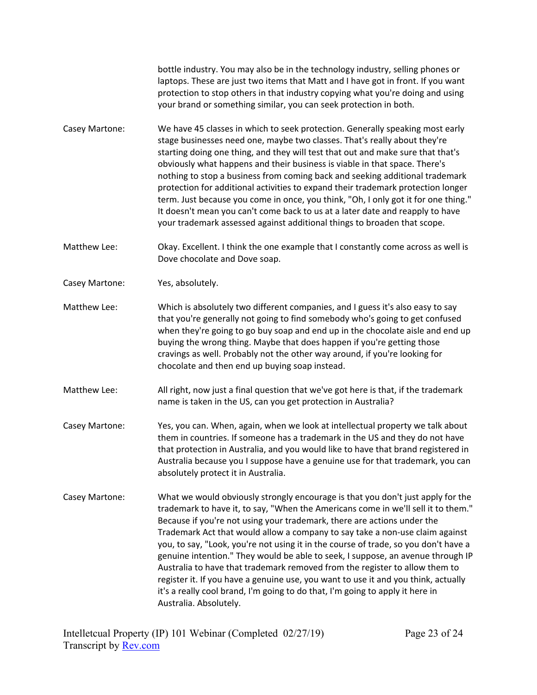bottle industry. You may also be in the technology industry, selling phones or laptops. These are just two items that Matt and I have got in front. If you want protection to stop others in that industry copying what you're doing and using your brand or something similar, you can seek protection in both.

- Casey Martone: We have 45 classes in which to seek protection. Generally speaking most early stage businesses need one, maybe two classes. That's really about they're starting doing one thing, and they will test that out and make sure that that's obviously what happens and their business is viable in that space. There's nothing to stop a business from coming back and seeking additional trademark protection for additional activities to expand their trademark protection longer term. Just because you come in once, you think, "Oh, I only got it for one thing." It doesn't mean you can't come back to us at a later date and reapply to have your trademark assessed against additional things to broaden that scope.
- Matthew Lee: Okay. Excellent. I think the one example that I constantly come across as well is Dove chocolate and Dove soap.
- Casey Martone: Yes, absolutely.
- Matthew Lee: Which is absolutely two different companies, and I guess it's also easy to say that you're generally not going to find somebody who's going to get confused when they're going to go buy soap and end up in the chocolate aisle and end up buying the wrong thing. Maybe that does happen if you're getting those cravings as well. Probably not the other way around, if you're looking for chocolate and then end up buying soap instead.
- Matthew Lee: All right, now just a final question that we've got here is that, if the trademark name is taken in the US, can you get protection in Australia?
- Casey Martone: Yes, you can. When, again, when we look at intellectual property we talk about them in countries. If someone has a trademark in the US and they do not have that protection in Australia, and you would like to have that brand registered in Australia because you I suppose have a genuine use for that trademark, you can absolutely protect it in Australia.
- Casey Martone: What we would obviously strongly encourage is that you don't just apply for the trademark to have it, to say, "When the Americans come in we'll sell it to them." Because if you're not using your trademark, there are actions under the Trademark Act that would allow a company to say take a non-use claim against you, to say, "Look, you're not using it in the course of trade, so you don't have a genuine intention." They would be able to seek, I suppose, an avenue through IP Australia to have that trademark removed from the register to allow them to register it. If you have a genuine use, you want to use it and you think, actually it's a really cool brand, I'm going to do that, I'm going to apply it here in Australia. Absolutely.